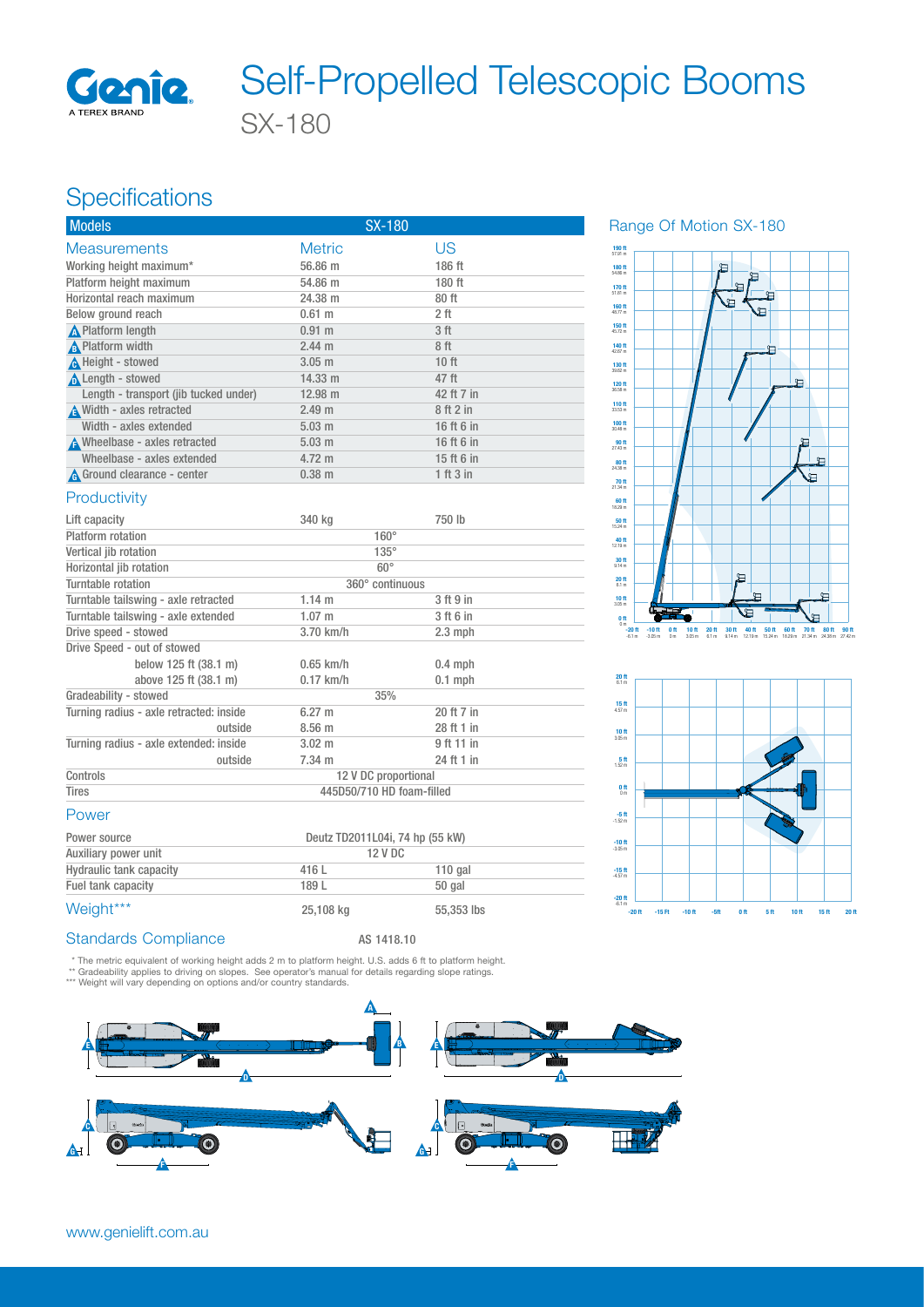

# SX-180 Self-Propelled Telescopic Booms

## **Specifications**

| <b>Models</b>                         | <b>SX-180</b>     |                 |  |  |
|---------------------------------------|-------------------|-----------------|--|--|
| <b>Measurements</b>                   | <b>Metric</b>     | US              |  |  |
| Working height maximum*               | 56.86 m           | 186 ft          |  |  |
| Platform height maximum               | 54.86 m           | 180 ft          |  |  |
| Horizontal reach maximum              | 24.38 m           | 80 ft           |  |  |
| Below ground reach                    | $0.61$ m          | 2 ft            |  |  |
| <b>A</b> Platform length              | $0.91$ m          | 3 <sup>ft</sup> |  |  |
| A Platform width                      | $2.44 \text{ m}$  | 8ft             |  |  |
| A Height - stowed                     | $3.05$ m          | 10 ft           |  |  |
| Length - stowed                       | $14.33 \text{ m}$ | 47 ft           |  |  |
| Length - transport (jib tucked under) | $12.98 \text{ m}$ | 42 ft 7 in      |  |  |
| Width - axles retracted               | 2.49 m            | 8ft2in          |  |  |
| Width - axles extended                | $5.03$ m          | 16 ft 6 in      |  |  |
| A Wheelbase - axles retracted         | $5.03 \text{ m}$  | 16 ft 6 in      |  |  |
| Wheelbase - axles extended            | $4.72 \text{ m}$  | 15 ft 6 in      |  |  |
| A Ground clearance - center           | $0.38$ m          | 1 ft 3 in       |  |  |

#### Range Of Motion SX-180





#### **Productivity**

| Lift capacity                           | 340 kg                          | 750 lb     |  |  |
|-----------------------------------------|---------------------------------|------------|--|--|
| Platform rotation                       | $160^\circ$                     |            |  |  |
| Vertical jib rotation                   | $135^\circ$                     |            |  |  |
| Horizontal jib rotation                 | $60^\circ$                      |            |  |  |
| Turntable rotation                      | 360° continuous                 |            |  |  |
| Turntable tailswing - axle retracted    | $1.14 \text{ m}$                | 3 ft 9 in  |  |  |
| Turntable tailswing - axle extended     | $1.07 \;{\rm m}$                | 3 ft 6 in  |  |  |
| Drive speed - stowed                    | 3.70 km/h                       | $2.3$ mph  |  |  |
| Drive Speed - out of stowed             |                                 |            |  |  |
| below 125 ft (38.1 m)                   | $0.65$ km/h                     | $0.4$ mph  |  |  |
| above 125 ft (38.1 m)                   | $0.17$ km/h                     | $0.1$ mph  |  |  |
| Gradeability - stowed                   | 35%                             |            |  |  |
| Turning radius - axle retracted: inside | $6.27 \text{ m}$                | 20 ft 7 in |  |  |
| outside                                 | 8.56 <sub>m</sub>               | 28 ft 1 in |  |  |
| Turning radius - axle extended: inside  | $3.02 \text{ m}$                | 9 ft 11 in |  |  |
| outside                                 | 7.34 m                          | 24 ft 1 in |  |  |
| Controls                                | 12 V DC proportional            |            |  |  |
| Tires                                   | 445D50/710 HD foam-filled       |            |  |  |
| Power                                   |                                 |            |  |  |
| Power source                            | Deutz TD2011L04i, 74 hp (55 kW) |            |  |  |
| Auxiliary power unit                    | <b>12 V DC</b>                  |            |  |  |
| <b>Hydraulic tank capacity</b>          | 416L                            | $110$ gal  |  |  |

### Standards Compliance AS 1418.10

\* The metric equivalent of working height adds 2 m to platform height. U.S. adds 6 ft to platform height.<br>\*\* Gradeability applies to driving on slopes. See operator's manual for details regarding slope ratings.<br>\*\*\* Weight

Fuel tank capacity and the 189 L 50 gal  $Weight***$  25,108 kg 55,353 lbs